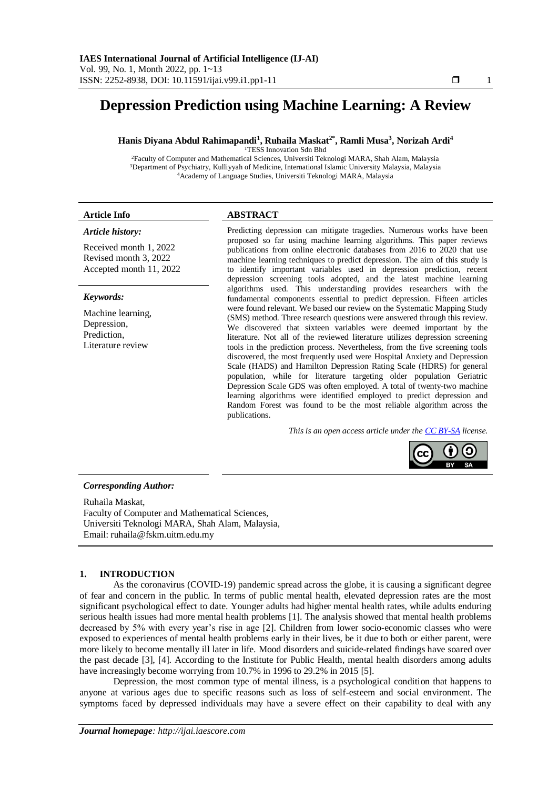# **Depression Prediction using Machine Learning: A Review**

# **Hanis Diyana Abdul Rahimapandi<sup>1</sup> , Ruhaila Maskat2\* , Ramli Musa<sup>3</sup> , Norizah Ardi<sup>4</sup>**

<sup>1</sup>TESS Innovation Sdn Bhd

<sup>2</sup>Faculty of Computer and Mathematical Sciences, Universiti Teknologi MARA, Shah Alam, Malaysia <sup>3</sup>Department of Psychiatry, Kulliyyah of Medicine, International Islamic University Malaysia, Malaysia <sup>4</sup>Academy of Language Studies, Universiti Teknologi MARA, Malaysia

# **Article Info ABSTRACT**

# *Article history:*

Received month 1, 2022 Revised month 3, 2022 Accepted month 11, 2022

#### *Keywords:*

Machine learning, Depression, Prediction, Literature review

Predicting depression can mitigate tragedies. Numerous works have been proposed so far using machine learning algorithms. This paper reviews publications from online electronic databases from 2016 to 2020 that use machine learning techniques to predict depression. The aim of this study is to identify important variables used in depression prediction, recent depression screening tools adopted, and the latest machine learning algorithms used. This understanding provides researchers with the fundamental components essential to predict depression. Fifteen articles were found relevant. We based our review on the Systematic Mapping Study (SMS) method. Three research questions were answered through this review. We discovered that sixteen variables were deemed important by the literature. Not all of the reviewed literature utilizes depression screening tools in the prediction process. Nevertheless, from the five screening tools discovered, the most frequently used were Hospital Anxiety and Depression Scale (HADS) and Hamilton Depression Rating Scale (HDRS) for general population, while for literature targeting older population Geriatric Depression Scale GDS was often employed. A total of twenty-two machine learning algorithms were identified employed to predict depression and Random Forest was found to be the most reliable algorithm across the publications.

*This is an open access article under th[e CC BY-SA](https://creativecommons.org/licenses/by-sa/4.0/) license.*



### *Corresponding Author:*

Ruhaila Maskat, Faculty of Computer and Mathematical Sciences, Universiti Teknologi MARA, Shah Alam, Malaysia, Email: ruhaila@fskm.uitm.edu.my

# **1. INTRODUCTION**

As the coronavirus (COVID-19) pandemic spread across the globe, it is causing a significant degree of fear and concern in the public. In terms of public mental health, elevated depression rates are the most significant psychological effect to date. Younger adults had higher mental health rates, while adults enduring serious health issues had more mental health problems [1]. The analysis showed that mental health problems decreased by 5% with every year's rise in age [2]. Children from lower socio-economic classes who were exposed to experiences of mental health problems early in their lives, be it due to both or either parent, were more likely to become mentally ill later in life. Mood disorders and suicide-related findings have soared over the past decade [3], [4]. According to the Institute for Public Health, mental health disorders among adults have increasingly become worrying from 10.7% in 1996 to 29.2% in 2015 [5].

Depression, the most common type of mental illness, is a psychological condition that happens to anyone at various ages due to specific reasons such as loss of self-esteem and social environment. The symptoms faced by depressed individuals may have a severe effect on their capability to deal with any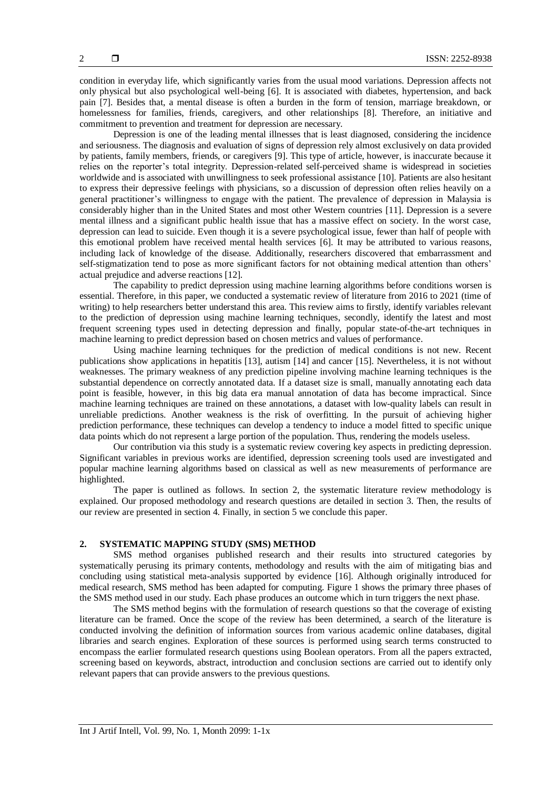condition in everyday life, which significantly varies from the usual mood variations. Depression affects not only physical but also psychological well-being [6]. It is associated with diabetes, hypertension, and back pain [7]. Besides that, a mental disease is often a burden in the form of tension, marriage breakdown, or homelessness for families, friends, caregivers, and other relationships [8]. Therefore, an initiative and commitment to prevention and treatment for depression are necessary.

Depression is one of the leading mental illnesses that is least diagnosed, considering the incidence and seriousness. The diagnosis and evaluation of signs of depression rely almost exclusively on data provided by patients, family members, friends, or caregivers [9]. This type of article, however, is inaccurate because it relies on the reporter's total integrity. Depression-related self-perceived shame is widespread in societies worldwide and is associated with unwillingness to seek professional assistance [10]. Patients are also hesitant to express their depressive feelings with physicians, so a discussion of depression often relies heavily on a general practitioner's willingness to engage with the patient. The prevalence of depression in Malaysia is considerably higher than in the United States and most other Western countries [11]. Depression is a severe mental illness and a significant public health issue that has a massive effect on society. In the worst case, depression can lead to suicide. Even though it is a severe psychological issue, fewer than half of people with this emotional problem have received mental health services [6]. It may be attributed to various reasons, including lack of knowledge of the disease. Additionally, researchers discovered that embarrassment and self-stigmatization tend to pose as more significant factors for not obtaining medical attention than others' actual prejudice and adverse reactions [12].

The capability to predict depression using machine learning algorithms before conditions worsen is essential. Therefore, in this paper, we conducted a systematic review of literature from 2016 to 2021 (time of writing) to help researchers better understand this area. This review aims to firstly, identify variables relevant to the prediction of depression using machine learning techniques, secondly, identify the latest and most frequent screening types used in detecting depression and finally, popular state-of-the-art techniques in machine learning to predict depression based on chosen metrics and values of performance.

Using machine learning techniques for the prediction of medical conditions is not new. Recent publications show applications in hepatitis [13], autism [14] and cancer [15]. Nevertheless, it is not without weaknesses. The primary weakness of any prediction pipeline involving machine learning techniques is the substantial dependence on correctly annotated data. If a dataset size is small, manually annotating each data point is feasible, however, in this big data era manual annotation of data has become impractical. Since machine learning techniques are trained on these annotations, a dataset with low-quality labels can result in unreliable predictions. Another weakness is the risk of overfitting. In the pursuit of achieving higher prediction performance, these techniques can develop a tendency to induce a model fitted to specific unique data points which do not represent a large portion of the population. Thus, rendering the models useless.

Our contribution via this study is a systematic review covering key aspects in predicting depression. Significant variables in previous works are identified, depression screening tools used are investigated and popular machine learning algorithms based on classical as well as new measurements of performance are highlighted.

The paper is outlined as follows. In section 2, the systematic literature review methodology is explained. Our proposed methodology and research questions are detailed in section 3. Then, the results of our review are presented in section 4. Finally, in section 5 we conclude this paper.

# **2. SYSTEMATIC MAPPING STUDY (SMS) METHOD**

SMS method organises published research and their results into structured categories by systematically perusing its primary contents, methodology and results with the aim of mitigating bias and concluding using statistical meta-analysis supported by evidence [16]. Although originally introduced for medical research, SMS method has been adapted for computing. Figure 1 shows the primary three phases of the SMS method used in our study. Each phase produces an outcome which in turn triggers the next phase.

The SMS method begins with the formulation of research questions so that the coverage of existing literature can be framed. Once the scope of the review has been determined, a search of the literature is conducted involving the definition of information sources from various academic online databases, digital libraries and search engines. Exploration of these sources is performed using search terms constructed to encompass the earlier formulated research questions using Boolean operators. From all the papers extracted, screening based on keywords, abstract, introduction and conclusion sections are carried out to identify only relevant papers that can provide answers to the previous questions.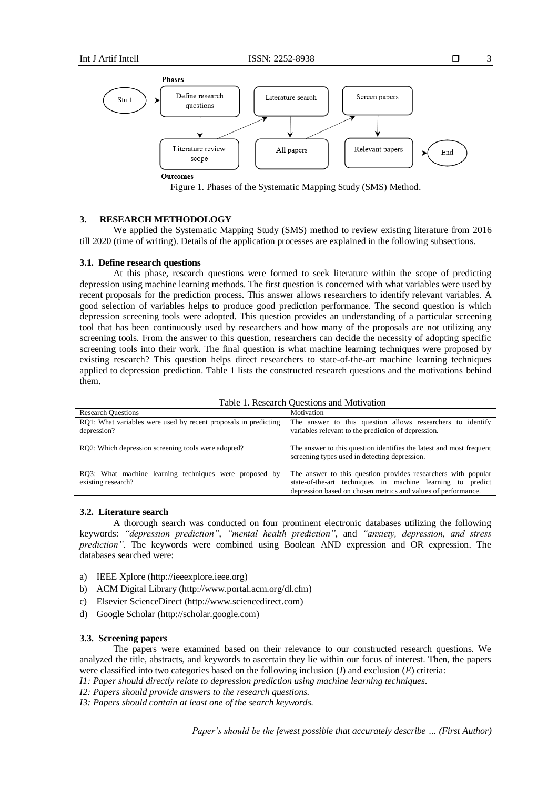

Figure 1. Phases of the Systematic Mapping Study (SMS) Method.

# **3. RESEARCH METHODOLOGY**

We applied the Systematic Mapping Study (SMS) method to review existing literature from 2016 till 2020 (time of writing). Details of the application processes are explained in the following subsections.

# **3.1. Define research questions**

At this phase, research questions were formed to seek literature within the scope of predicting depression using machine learning methods. The first question is concerned with what variables were used by recent proposals for the prediction process. This answer allows researchers to identify relevant variables. A good selection of variables helps to produce good prediction performance. The second question is which depression screening tools were adopted. This question provides an understanding of a particular screening tool that has been continuously used by researchers and how many of the proposals are not utilizing any screening tools. From the answer to this question, researchers can decide the necessity of adopting specific screening tools into their work. The final question is what machine learning techniques were proposed by existing research? This question helps direct researchers to state-of-the-art machine learning techniques applied to depression prediction. Table 1 lists the constructed research questions and the motivations behind them.

| Table 1. Research Ouestions and Motivation                                     |                                                                                                                                                                                              |  |  |
|--------------------------------------------------------------------------------|----------------------------------------------------------------------------------------------------------------------------------------------------------------------------------------------|--|--|
| <b>Research Ouestions</b>                                                      | Motivation                                                                                                                                                                                   |  |  |
| RO1: What variables were used by recent proposals in predicting<br>depression? | The answer to this question allows researchers to identify<br>variables relevant to the prediction of depression.                                                                            |  |  |
| RO2: Which depression screening tools were adopted?                            | The answer to this question identifies the latest and most frequent<br>screening types used in detecting depression.                                                                         |  |  |
| RO3: What machine learning techniques were proposed by<br>existing research?   | The answer to this question provides researchers with popular<br>state-of-the-art techniques in machine learning to predict<br>depression based on chosen metrics and values of performance. |  |  |

#### **3.2. Literature search**

A thorough search was conducted on four prominent electronic databases utilizing the following keywords: *"depression prediction"*, *"mental health prediction"*, and *"anxiety, depression, and stress prediction"*. The keywords were combined using Boolean AND expression and OR expression. The databases searched were:

- a) IEEE Xplore (http://ieeexplore.ieee.org)
- b) ACM Digital Library (http://www.portal.acm.org/dl.cfm)
- c) Elsevier ScienceDirect (http://www.sciencedirect.com)
- d) Google Scholar (http://scholar.google.com)

## **3.3. Screening papers**

The papers were examined based on their relevance to our constructed research questions. We analyzed the title, abstracts, and keywords to ascertain they lie within our focus of interest. Then, the papers were classified into two categories based on the following inclusion (*I*) and exclusion (*E*) criteria:

*I1: Paper should directly relate to depression prediction using machine learning techniques.*

*I2: Papers should provide answers to the research questions.*

*I3: Papers should contain at least one of the search keywords.*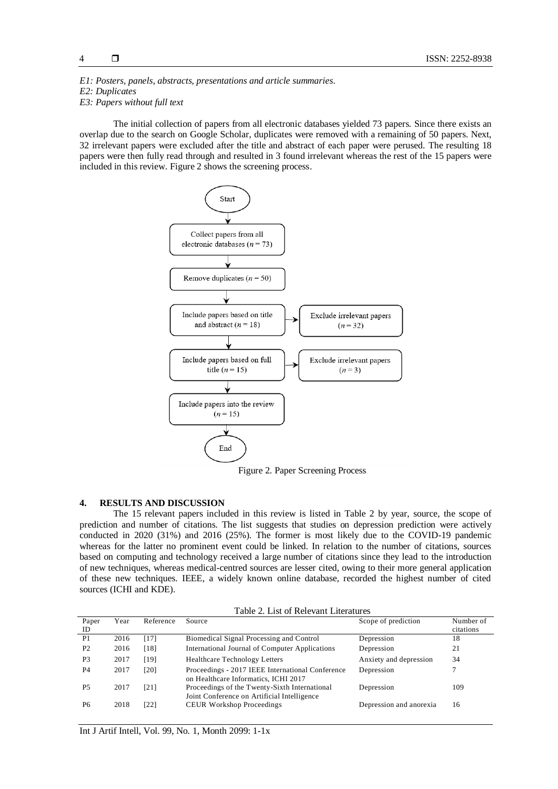*E1: Posters, panels, abstracts, presentations and article summaries. E2: Duplicates*

*E3: Papers without full text*

The initial collection of papers from all electronic databases yielded 73 papers. Since there exists an overlap due to the search on Google Scholar, duplicates were removed with a remaining of 50 papers. Next, 32 irrelevant papers were excluded after the title and abstract of each paper were perused. The resulting 18 papers were then fully read through and resulted in 3 found irrelevant whereas the rest of the 15 papers were included in this review. Figure 2 shows the screening process.



Figure 2. Paper Screening Process

# **4. RESULTS AND DISCUSSION**

The 15 relevant papers included in this review is listed in Table 2 by year, source, the scope of prediction and number of citations. The list suggests that studies on depression prediction were actively conducted in 2020 (31%) and 2016 (25%). The former is most likely due to the COVID-19 pandemic whereas for the latter no prominent event could be linked. In relation to the number of citations, sources based on computing and technology received a large number of citations since they lead to the introduction of new techniques, whereas medical-centred sources are lesser cited, owing to their more general application of these new techniques. IEEE, a widely known online database, recorded the highest number of cited sources (ICHI and KDE).

|  |  |  | Table 2. List of Relevant Literatures |
|--|--|--|---------------------------------------|
|--|--|--|---------------------------------------|

| Paper          | Year | Reference | Source                                                                                       | Scope of prediction     | Number of |
|----------------|------|-----------|----------------------------------------------------------------------------------------------|-------------------------|-----------|
| ID             |      |           |                                                                                              |                         | citations |
| P <sub>1</sub> | 2016 | [17]      | Biomedical Signal Processing and Control                                                     | Depression              | 18        |
| P <sub>2</sub> | 2016 | [18]      | International Journal of Computer Applications                                               | Depression              | 21        |
| P <sub>3</sub> | 2017 | [19]      | <b>Healthcare Technology Letters</b>                                                         | Anxiety and depression  | 34        |
| P <sub>4</sub> | 2017 | [20]      | Proceedings - 2017 IEEE International Conference<br>on Healthcare Informatics, ICHI 2017     | Depression              |           |
| <b>P5</b>      | 2017 | [21]      | Proceedings of the Twenty-Sixth International<br>Joint Conference on Artificial Intelligence | Depression              | 109       |
| P6             | 2018 | [22]      | <b>CEUR Workshop Proceedings</b>                                                             | Depression and anorexia | 16        |

Int J Artif Intell, Vol. 99, No. 1, Month 2099: 1-1x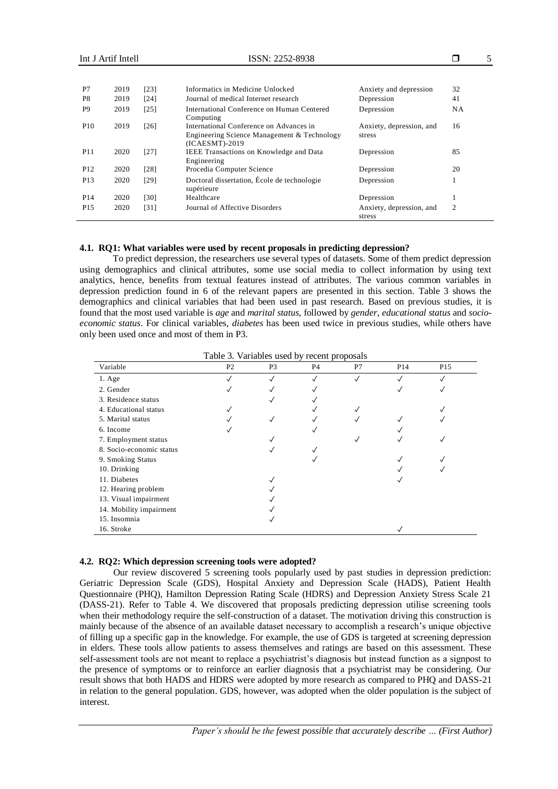| P7              | 2019 | [23] | Informatics in Medicine Unlocked                                                                           | Anxiety and depression             | 32 |
|-----------------|------|------|------------------------------------------------------------------------------------------------------------|------------------------------------|----|
| P8              | 2019 | [24] | Journal of medical Internet research                                                                       | Depression                         | 41 |
| P <sub>9</sub>  | 2019 | [25] | International Conference on Human Centered<br>Computing                                                    | Depression                         | NΑ |
| <b>P10</b>      | 2019 | [26] | International Conference on Advances in<br>Engineering Science Management & Technology<br>$(ICAESMT)-2019$ | Anxiety, depression, and<br>stress | 16 |
| P <sub>11</sub> | 2020 | [27] | <b>IEEE</b> Transactions on Knowledge and Data<br>Engineering                                              | Depression                         | 85 |
| P <sub>12</sub> | 2020 | [28] | Procedia Computer Science                                                                                  | Depression                         | 20 |
| P <sub>13</sub> | 2020 | [29] | Doctoral dissertation, École de technologie<br>supérieure                                                  | Depression                         |    |
| P <sub>14</sub> | 2020 | [30] | Healthcare                                                                                                 | Depression                         |    |
| P <sub>15</sub> | 2020 | [31] | Journal of Affective Disorders                                                                             | Anxiety, depression, and<br>stress | 2  |

# **4.1. RQ1: What variables were used by recent proposals in predicting depression?**

To predict depression, the researchers use several types of datasets. Some of them predict depression using demographics and clinical attributes, some use social media to collect information by using text analytics, hence, benefits from textual features instead of attributes. The various common variables in depression prediction found in 6 of the relevant papers are presented in this section. Table 3 shows the demographics and clinical variables that had been used in past research. Based on previous studies, it is found that the most used variable is *age* and *marital status*, followed by *gender*, *educational status* and *socioeconomic status*. For clinical variables, *diabetes* has been used twice in previous studies, while others have only been used once and most of them in P3.

| Variable                 | P <sub>2</sub> | P <sub>3</sub> | P <sub>4</sub> | P7           | P <sub>14</sub> | P <sub>15</sub> |
|--------------------------|----------------|----------------|----------------|--------------|-----------------|-----------------|
| $1. \text{Age}$          |                | $\checkmark$   |                | $\checkmark$ |                 |                 |
| 2. Gender                |                |                |                |              | ✓               |                 |
| 3. Residence status      |                | √              |                |              |                 |                 |
| 4. Educational status    |                |                |                |              |                 |                 |
| 5. Marital status        |                | $\checkmark$   |                |              |                 |                 |
| 6. Income                |                |                |                |              |                 |                 |
| 7. Employment status     |                |                |                |              |                 |                 |
| 8. Socio-economic status |                |                |                |              |                 |                 |
| 9. Smoking Status        |                |                |                |              |                 |                 |
| 10. Drinking             |                |                |                |              |                 |                 |
| 11. Diabetes             |                |                |                |              |                 |                 |
| 12. Hearing problem      |                |                |                |              |                 |                 |
| 13. Visual impairment    |                |                |                |              |                 |                 |
| 14. Mobility impairment  |                |                |                |              |                 |                 |
| 15. Insomnia             |                |                |                |              |                 |                 |
| 16. Stroke               |                |                |                |              |                 |                 |

#### **4.2. RQ2: Which depression screening tools were adopted?**

Our review discovered 5 screening tools popularly used by past studies in depression prediction: Geriatric Depression Scale (GDS), Hospital Anxiety and Depression Scale (HADS), Patient Health Questionnaire (PHQ), Hamilton Depression Rating Scale (HDRS) and Depression Anxiety Stress Scale 21 (DASS-21). Refer to Table 4. We discovered that proposals predicting depression utilise screening tools when their methodology require the self-construction of a dataset. The motivation driving this construction is mainly because of the absence of an available dataset necessary to accomplish a research's unique objective of filling up a specific gap in the knowledge. For example, the use of GDS is targeted at screening depression in elders. These tools allow patients to assess themselves and ratings are based on this assessment. These self-assessment tools are not meant to replace a psychiatrist's diagnosis but instead function as a signpost to the presence of symptoms or to reinforce an earlier diagnosis that a psychiatrist may be considering. Our result shows that both HADS and HDRS were adopted by more research as compared to PHQ and DASS-21 in relation to the general population. GDS, however, was adopted when the older population is the subject of interest.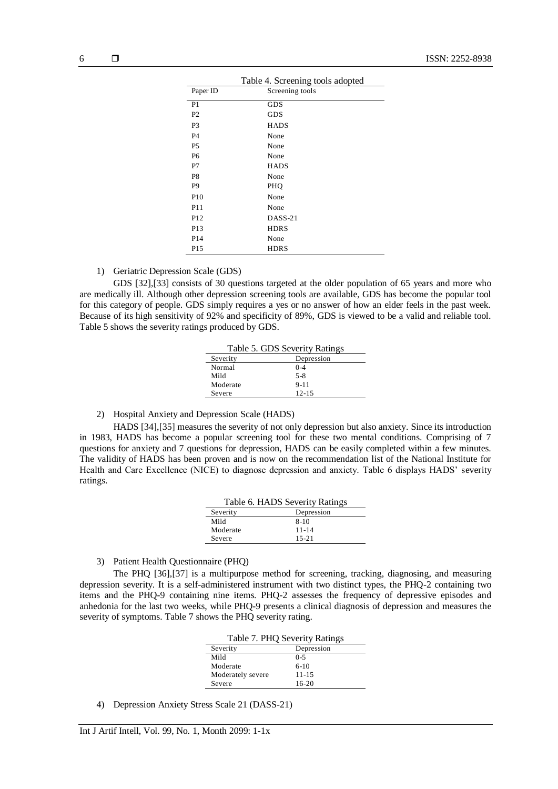| Table 4. Screening tools adopted |                 |  |
|----------------------------------|-----------------|--|
| Paper ID                         | Screening tools |  |
| P1                               | <b>GDS</b>      |  |
| P <sub>2</sub>                   | <b>GDS</b>      |  |
| P <sub>3</sub>                   | <b>HADS</b>     |  |
| <b>P4</b>                        | None            |  |
| P <sub>5</sub>                   | None            |  |
| P6                               | None            |  |
| P7                               | <b>HADS</b>     |  |
| P8                               | None            |  |
| P <sub>9</sub>                   | PHQ             |  |
| P <sub>10</sub>                  | None            |  |
| P <sub>11</sub>                  | None            |  |
| P <sub>12</sub>                  | $DASS-21$       |  |
| P <sub>13</sub>                  | <b>HDRS</b>     |  |
| P <sub>14</sub>                  | None            |  |
| P <sub>15</sub>                  | <b>HDRS</b>     |  |

1) Geriatric Depression Scale (GDS)

GDS [32],[33] consists of 30 questions targeted at the older population of 65 years and more who are medically ill. Although other depression screening tools are available, GDS has become the popular tool for this category of people. GDS simply requires a yes or no answer of how an elder feels in the past week. Because of its high sensitivity of 92% and specificity of 89%, GDS is viewed to be a valid and reliable tool. Table 5 shows the severity ratings produced by GDS.

| Table 5. GDS Severity Ratings |            |  |
|-------------------------------|------------|--|
| Severity                      | Depression |  |
| Normal                        | $0 - 4$    |  |
| Mild                          | $5 - 8$    |  |
| Moderate                      | $9 - 11$   |  |
| Severe                        | $12 - 15$  |  |

# 2) Hospital Anxiety and Depression Scale (HADS)

HADS [34],[35] measures the severity of not only depression but also anxiety. Since its introduction in 1983, HADS has become a popular screening tool for these two mental conditions. Comprising of 7 questions for anxiety and 7 questions for depression, HADS can be easily completed within a few minutes. The validity of HADS has been proven and is now on the recommendation list of the National Institute for Health and Care Excellence (NICE) to diagnose depression and anxiety. Table 6 displays HADS' severity ratings.

| Table 6. HADS Severity Ratings |            |  |
|--------------------------------|------------|--|
| Severity                       | Depression |  |
| Mild                           | $8 - 10$   |  |
| Moderate                       | $11 - 14$  |  |
| Severe                         | $15 - 21$  |  |

#### 3) Patient Health Questionnaire (PHQ)

The PHQ [36],[37] is a multipurpose method for screening, tracking, diagnosing, and measuring depression severity. It is a self-administered instrument with two distinct types, the PHQ-2 containing two items and the PHQ-9 containing nine items. PHQ-2 assesses the frequency of depressive episodes and anhedonia for the last two weeks, while PHQ-9 presents a clinical diagnosis of depression and measures the severity of symptoms. Table 7 shows the PHQ severity rating.

| Table 7. PHQ Severity Ratings |            |  |
|-------------------------------|------------|--|
| Severity                      | Depression |  |
| Mild                          | $0 - 5$    |  |
| Moderate                      | $6-10$     |  |
| Moderately severe             | $11 - 15$  |  |
| Severe                        | $16-20$    |  |

4) Depression Anxiety Stress Scale 21 (DASS-21)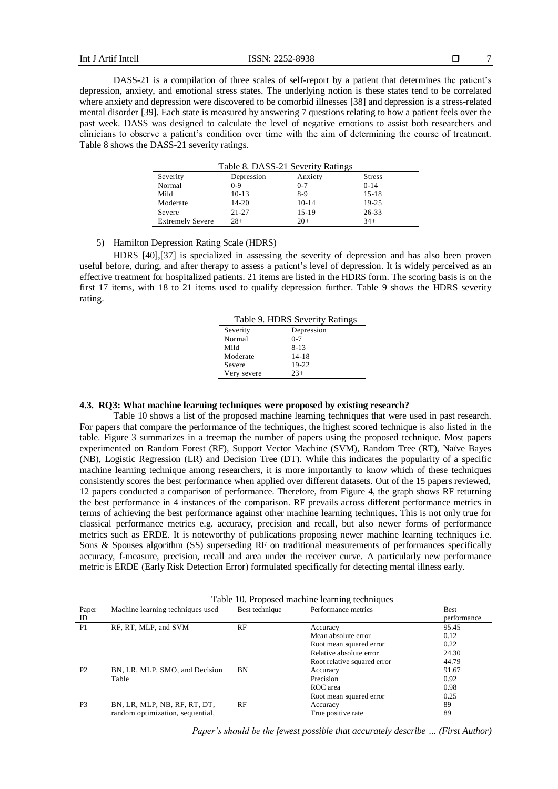Paper ID

P2 BN, LR, MLP, SMO, and Decision

Int J Artif Intell ISSN:  $2252-8938$ 

performance

95.45 0.12 0.22 24.30 44.79

91.67

DASS-21 is a compilation of three scales of self-report by a patient that determines the patient's depression, anxiety, and emotional stress states. The underlying notion is these states tend to be correlated where anxiety and depression were discovered to be comorbid illnesses [38] and depression is a stress-related mental disorder [39]. Each state is measured by answering 7 questions relating to how a patient feels over the past week. DASS was designed to calculate the level of negative emotions to assist both researchers and clinicians to observe a patient's condition over time with the aim of determining the course of treatment. Table 8 shows the DASS-21 severity ratings.

| Severity                | Depression | Anxiety | <b>Stress</b> |
|-------------------------|------------|---------|---------------|
| Normal                  | $0-9$      | $0 - 7$ | $0-14$        |
| Mild                    | $10-13$    | $8-9$   | $15 - 18$     |
| Moderate                | $14 - 20$  | $10-14$ | $19 - 25$     |
| Severe                  | $21 - 27$  | $15-19$ | $26 - 33$     |
| <b>Extremely Severe</b> | $28+$      | $20+$   | $34+$         |

Table 8. DASS-21 Severity Ratings

# 5) Hamilton Depression Rating Scale (HDRS)

HDRS [40],[37] is specialized in assessing the severity of depression and has also been proven useful before, during, and after therapy to assess a patient's level of depression. It is widely perceived as an effective treatment for hospitalized patients. 21 items are listed in the HDRS form. The scoring basis is on the first 17 items, with 18 to 21 items used to qualify depression further. Table 9 shows the HDRS severity rating.

| Table 9. HDRS Severity Ratings |            |  |
|--------------------------------|------------|--|
| Severity                       | Depression |  |
| Normal                         | $0 - 7$    |  |
| Mild                           | $8-13$     |  |
| Moderate                       | $14 - 18$  |  |
| Severe                         | 19-22      |  |
| Very severe                    | $23+$      |  |

# **4.3. RQ3: What machine learning techniques were proposed by existing research?**

Table 10 shows a list of the proposed machine learning techniques that were used in past research. For papers that compare the performance of the techniques, the highest scored technique is also listed in the table. Figure 3 summarizes in a treemap the number of papers using the proposed technique. Most papers experimented on Random Forest (RF), Support Vector Machine (SVM), Random Tree (RT), Naïve Bayes (NB), Logistic Regression (LR) and Decision Tree (DT). While this indicates the popularity of a specific machine learning technique among researchers, it is more importantly to know which of these techniques consistently scores the best performance when applied over different datasets. Out of the 15 papers reviewed, 12 papers conducted a comparison of performance. Therefore, from Figure 4, the graph shows RF returning the best performance in 4 instances of the comparison. RF prevails across different performance metrics in terms of achieving the best performance against other machine learning techniques. This is not only true for classical performance metrics e.g. accuracy, precision and recall, but also newer forms of performance metrics such as ERDE. It is noteworthy of publications proposing newer machine learning techniques i.e. Sons & Spouses algorithm (SS) superseding RF on traditional measurements of performances specifically accuracy, f-measure, precision, recall and area under the receiver curve. A particularly new performance metric is ERDE (Early Risk Detection Error) formulated specifically for detecting mental illness early.

| Paper<br>ID | Machine learning techniques used | Best technique | Performance metrics | Best<br>perfo |
|-------------|----------------------------------|----------------|---------------------|---------------|
| P1          | RF. RT. MLP. and SVM             | RF             | Accuracy            | 95.4          |
|             |                                  |                | Mean absolute error | 0.12          |

BN Accuracy

| Table 10. Proposed machine learning techniques |  |
|------------------------------------------------|--|
|------------------------------------------------|--|

Table Precision ROC area Root mean squared error 0.92 0.98 0.25 P3 BN, LR, MLP, NB, RF, RT, DT, random optimization, sequential, RF Accuracy True positive rate 89 89

*Paper's should be the fewest possible that accurately describe … (First Author)*

Root mean squared error Relative absolute error Root relative squared error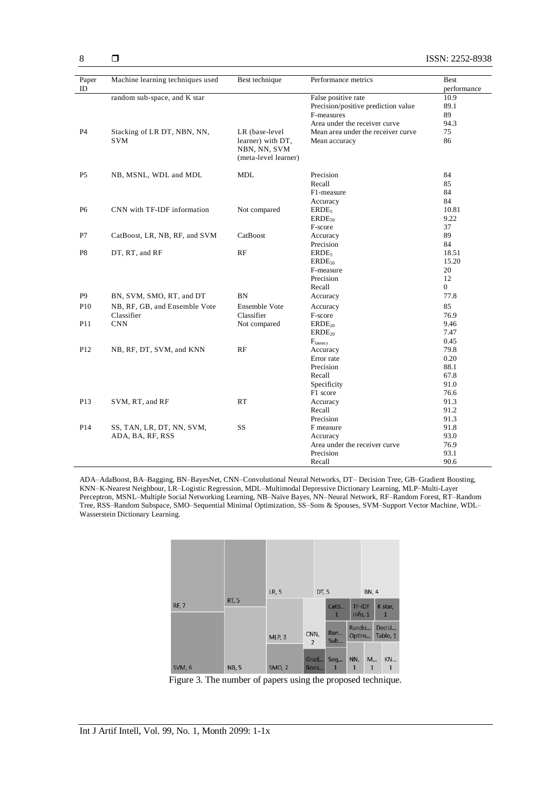| Paper<br>ID     | Machine learning techniques used | Best technique       | Performance metrics                 | <b>Best</b><br>performance |
|-----------------|----------------------------------|----------------------|-------------------------------------|----------------------------|
|                 | random sub-space, and K star     |                      | False positive rate                 | 10.9                       |
|                 |                                  |                      | Precision/positive prediction value | 89.1                       |
|                 |                                  |                      | F-measures                          | 89                         |
|                 |                                  |                      | Area under the receiver curve       | 94.3                       |
| P4              | Stacking of LR DT, NBN, NN,      | LR (base-level       | Mean area under the receiver curve  | 75                         |
|                 | SVM                              | learner) with DT,    | Mean accuracy                       | 86                         |
|                 |                                  | NBN, NN, SVM         |                                     |                            |
|                 |                                  | (meta-level learner) |                                     |                            |
|                 |                                  |                      |                                     |                            |
| P <sub>5</sub>  | NB, MSNL, WDL and MDL            | <b>MDL</b>           | Precision                           | 84                         |
|                 |                                  |                      | Recall                              | 85                         |
|                 |                                  |                      | F1-measure                          | 84                         |
|                 |                                  |                      | Accuracy                            | 84                         |
| P <sub>6</sub>  | CNN with TF-IDF information      | Not compared         | ERDE <sub>5</sub>                   | 10.81                      |
|                 |                                  |                      | $ERDE_{50}$                         | 9.22                       |
|                 |                                  |                      | F-score                             | 37                         |
| P7              | CatBoost, LR, NB, RF, and SVM    | CatBoost             | Accuracy                            | 89                         |
|                 |                                  |                      | Precision                           | 84                         |
| P8              | DT, RT, and RF                   | RF                   | ERDE <sub>5</sub>                   | 18.51                      |
|                 |                                  |                      | $ERDE_{50}$                         | 15.20                      |
|                 |                                  |                      | F-measure                           | 20                         |
|                 |                                  |                      | Precision                           | 12                         |
|                 |                                  |                      | Recall                              | $\overline{0}$             |
| P <sub>9</sub>  | BN, SVM, SMO, RT, and DT         | <b>BN</b>            | Accuracy                            | 77.8                       |
| P10             | NB, RF, GB, and Ensemble Vote    | <b>Ensemble Vote</b> | Accuracy                            | 85                         |
|                 | Classifier                       | Classifier           | F-score                             | 76.9                       |
| P11             | <b>CNN</b>                       | Not compared         | $ERDE_{20}$                         | 9.46                       |
|                 |                                  |                      | ERDE <sub>20</sub>                  | 7.47                       |
|                 |                                  |                      | $F_{\text{latencv}}$                | 0.45                       |
| P12             | NB, RF, DT, SVM, and KNN         | RF                   | Accuracy                            | 79.8                       |
|                 |                                  |                      | Error rate                          | 0.20                       |
|                 |                                  |                      | Precision                           | 88.1                       |
|                 |                                  |                      | Recall                              | 67.8                       |
|                 |                                  |                      | Specificity                         | 91.0                       |
|                 |                                  |                      | F1 score                            | 76.6                       |
| P13             | SVM, RT, and RF                  | RT                   | Accuracy                            | 91.3                       |
|                 |                                  |                      | Recall                              | 91.2                       |
|                 |                                  |                      | Precision                           | 91.3                       |
| P <sub>14</sub> | SS, TAN, LR, DT, NN, SVM,        | SS                   | F measure                           | 91.8                       |
|                 | ADA, BA, RF, RSS                 |                      | Accuracy                            | 93.0                       |
|                 |                                  |                      | Area under the receiver curve       | 76.9                       |
|                 |                                  |                      | Precision                           | 93.1                       |
|                 |                                  |                      | Recall                              | 90.6                       |

ADA–AdaBoost, BA–Bagging, BN–BayesNet, CNN–Convolutional Neural Networks, DT– Decision Tree, GB–Gradient Boosting, KNN–K-Nearest Neighbour, LR–Logistic Regression, MDL–Multimodal Depressive Dictionary Learning, MLP–Multi-Layer Perceptron, MSNL–Multiple Social Networking Learning, NB–Naïve Bayes, NN–Neural Network, RF–Random Forest, RT–Random Tree, RSS–Random Subspace, SMO–Sequential Minimal Optimization, SS–Sons & Spouses, SVM–Support Vector Machine, WDL– Wasserstein Dictionary Learning.



Figure 3. The number of papers using the proposed technique.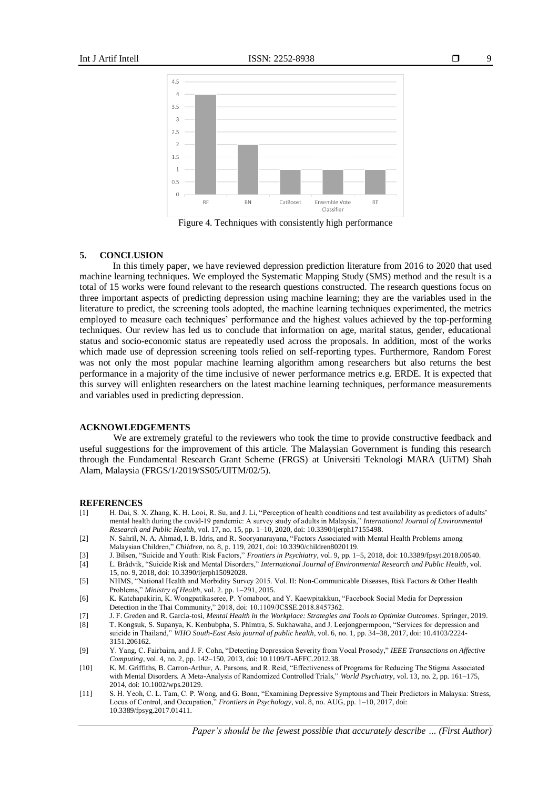

Figure 4. Techniques with consistently high performance

# **5. CONCLUSION**

In this timely paper, we have reviewed depression prediction literature from 2016 to 2020 that used machine learning techniques. We employed the Systematic Mapping Study (SMS) method and the result is a total of 15 works were found relevant to the research questions constructed. The research questions focus on three important aspects of predicting depression using machine learning; they are the variables used in the literature to predict, the screening tools adopted, the machine learning techniques experimented, the metrics employed to measure each techniques' performance and the highest values achieved by the top-performing techniques. Our review has led us to conclude that information on age, marital status, gender, educational status and socio-economic status are repeatedly used across the proposals. In addition, most of the works which made use of depression screening tools relied on self-reporting types. Furthermore, Random Forest was not only the most popular machine learning algorithm among researchers but also returns the best performance in a majority of the time inclusive of newer performance metrics e.g. ERDE. It is expected that this survey will enlighten researchers on the latest machine learning techniques, performance measurements and variables used in predicting depression.

#### **ACKNOWLEDGEMENTS**

We are extremely grateful to the reviewers who took the time to provide constructive feedback and useful suggestions for the improvement of this article. The Malaysian Government is funding this research through the Fundamental Research Grant Scheme (FRGS) at Universiti Teknologi MARA (UiTM) Shah Alam, Malaysia (FRGS/1/2019/SS05/UITM/02/5).

#### **REFERENCES**

- [1] H. Dai, S. X. Zhang, K. H. Looi, R. Su, and J. Li, "Perception of health conditions and test availability as predictors of adults' mental health during the covid-19 pandemic: A survey study of adults in Malaysia," *International Journal of Environmental Research and Public Health*, vol. 17, no. 15, pp. 1–10, 2020, doi: 10.3390/ijerph17155498.
- [2] N. Sahril, N. A. Ahmad, I. B. Idris, and R. Sooryanarayana, "Factors Associated with Mental Health Problems among Malaysian Children," *Children*, no. 8, p. 119, 2021, doi: 10.3390/children8020119.
- [3] J. Bilsen, "Suicide and Youth: Risk Factors," *Frontiers in Psychiatry*, vol. 9, pp. 1–5, 2018, doi: 10.3389/fpsyt.2018.00540.
- [4] L. Brådvik, "Suicide Risk and Mental Disorders," *International Journal of Environmental Research and Public Health*, vol. 15, no. 9, 2018, doi: 10.3390/ijerph15092028.
- [5] NHMS, "National Health and Morbidity Survey 2015. Vol. II: Non-Communicable Diseases, Risk Factors & Other Health Problems," *Ministry of Health*, vol. 2. pp. 1–291, 2015.
- [6] K. Katchapakirin, K. Wongpatikaseree, P. Yomaboot, and Y. Kaewpitakkun, "Facebook Social Media for Depression Detection in the Thai Community," 2018, doi: 10.1109/JCSSE.2018.8457362.
- [7] J. F. Greden and R. Garcia-tosi, *Mental Health in the Workplace: Strategies and Tools to Optimize Outcomes*. Springer, 2019.
- [8] T. Kongsuk, S. Supanya, K. Kenbubpha, S. Phimtra, S. Sukhawaha, and J. Leejongpermpoon, "Services for depression and suicide in Thailand," *WHO South-East Asia journal of public health*, vol. 6, no. 1, pp. 34–38, 2017, doi: 10.4103/2224- 3151.206162.
- [9] Y. Yang, C. Fairbairn, and J. F. Cohn, "Detecting Depression Severity from Vocal Prosody," *IEEE Transactions on Affective Computing*, vol. 4, no. 2, pp. 142–150, 2013, doi: 10.1109/T-AFFC.2012.38.
- [10] K. M. Griffiths, B. Carron-Arthur, A. Parsons, and R. Reid, "Effectiveness of Programs for Reducing The Stigma Associated with Mental Disorders. A Meta-Analysis of Randomized Controlled Trials," *World Psychiatry*, vol. 13, no. 2, pp. 161–175, 2014, doi: 10.1002/wps.20129.
- [11] S. H. Yeoh, C. L. Tam, C. P. Wong, and G. Bonn, "Examining Depressive Symptoms and Their Predictors in Malaysia: Stress, Locus of Control, and Occupation," *Frontiers in Psychology*, vol. 8, no. AUG, pp. 1–10, 2017, doi: 10.3389/fpsyg.2017.01411.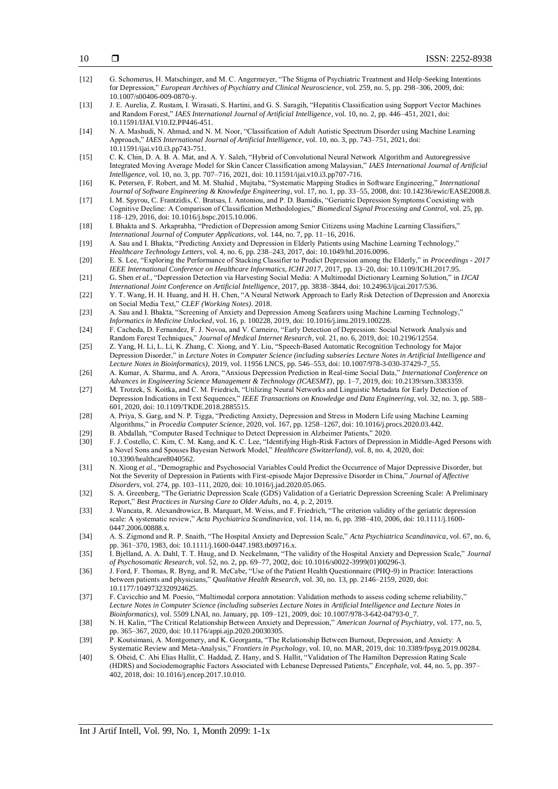| $[12]$           | G. Schomerus, H. Matschinger, and M. C. Angermeyer, "The Stigma of Psychiatric Treatment and Help-Seeking Intentions<br>for Depression," European Archives of Psychiatry and Clinical Neuroscience, vol. 259, no. 5, pp. 298–306, 2009, doi:                                                                                                                                            |
|------------------|-----------------------------------------------------------------------------------------------------------------------------------------------------------------------------------------------------------------------------------------------------------------------------------------------------------------------------------------------------------------------------------------|
| $[13]$           | 10.1007/s00406-009-0870-y.<br>J. E. Aurelia, Z. Rustam, I. Wirasati, S. Hartini, and G. S. Saragih, "Hepatitis Classification using Support Vector Machines<br>and Random Forest," IAES International Journal of Artificial Intelligence, vol. 10, no. 2, pp. 446-451, 2021, doi:                                                                                                       |
| $[14]$           | 10.11591/IJAI.V10.I2.PP446-451.<br>N. A. Mashudi, N. Ahmad, and N. M. Noor, "Classification of Adult Autistic Spectrum Disorder using Machine Learning<br>Approach," IAES International Journal of Artificial Intelligence, vol. 10, no. 3, pp. 743-751, 2021, doi:                                                                                                                     |
| $[15]$           | 10.11591/ijai.v10.i3.pp743-751.<br>C. K. Chin, D. A. B. A. Mat, and A. Y. Saleh, "Hybrid of Convolutional Neural Network Algorithm and Autoregressive<br>Integrated Moving Average Model for Skin Cancer Classification among Malaysian," IAES International Journal of Artificial                                                                                                      |
| $[16]$           | Intelligence, vol. 10, no. 3, pp. 707-716, 2021, doi: 10.11591/ijai.v10.i3.pp707-716.<br>K. Petersen, F. Robert, and M. M. Shahid, Mujtaba, "Systematic Mapping Studies in Software Engineering," International<br>Journal of Software Engineering & Knowledge Engineering, vol. 17, no. 1, pp. 33–55, 2008, doi: 10.14236/ewic/EASE2008.8.                                             |
| $[17]$           | I. M. Spyrou, C. Frantzidis, C. Bratsas, I. Antoniou, and P. D. Bamidis, "Geriatric Depression Symptoms Coexisting with<br>Cognitive Decline: A Comparison of Classification Methodologies," Biomedical Signal Processing and Control, vol. 25, pp.<br>118–129, 2016, doi: 10.1016/j.bspc.2015.10.006.                                                                                  |
| $[18]$           | I. Bhakta and S. Arkaprabha, "Prediction of Depression among Senior Citizens using Machine Learning Classifiers,"<br>International Journal of Computer Applications, vol. 144, no. 7, pp. 11-16, 2016.                                                                                                                                                                                  |
| $[19]$           | A. Sau and I. Bhakta, "Predicting Anxiety and Depression in Elderly Patients using Machine Learning Technology,"<br>Healthcare Technology Letters, vol. 4, no. 6, pp. 238-243, 2017, doi: 10.1049/htl.2016.0096.                                                                                                                                                                        |
| $[20]$           | E. S. Lee, "Exploring the Performance of Stacking Classifier to Predict Depression among the Elderly," in Proceedings - 2017<br>IEEE International Conference on Healthcare Informatics, ICHI 2017, 2017, pp. 13-20, doi: 10.1109/ICHI.2017.95.                                                                                                                                         |
| $[21]$           | G. Shen et al., "Depression Detection via Harvesting Social Media: A Multimodal Dictionary Learning Solution," in IJCAI<br>International Joint Conference on Artificial Intelligence, 2017, pp. 3838-3844, doi: 10.24963/ijcai.2017/536.                                                                                                                                                |
| $[22]$<br>$[23]$ | Y. T. Wang, H. H. Huang, and H. H. Chen, "A Neural Network Approach to Early Risk Detection of Depression and Anorexia<br>on Social Media Text," CLEF (Working Notes). 2018.<br>A. Sau and I. Bhakta, "Screening of Anxiety and Depression Among Seafarers using Machine Learning Technology,"                                                                                          |
| $[24]$           | Informatics in Medicine Unlocked, vol. 16, p. 100228, 2019, doi: 10.1016/j.imu.2019.100228.<br>F. Cacheda, D. Fernandez, F. J. Novoa, and V. Carneiro, "Early Detection of Depression: Social Network Analysis and                                                                                                                                                                      |
| $[25]$           | Random Forest Techniques," Journal of Medical Internet Research, vol. 21, no. 6, 2019, doi: 10.2196/12554.<br>Z. Yang, H. Li, L. Li, K. Zhang, C. Xiong, and Y. Liu, "Speech-Based Automatic Recognition Technology for Major                                                                                                                                                           |
|                  | Depression Disorder," in Lecture Notes in Computer Science (including subseries Lecture Notes in Artificial Intelligence and<br>Lecture Notes in Bioinformatics), 2019, vol. 11956 LNCS, pp. 546-553, doi: 10.1007/978-3-030-37429-7_55.                                                                                                                                                |
| $[26]$           | A. Kumar, A. Sharma, and A. Arora, "Anxious Depression Prediction in Real-time Social Data," International Conference on<br>Advances in Engineering Science Management & Technology (ICAESMT), pp. 1–7, 2019, doi: 10.2139/ssrn.3383359.                                                                                                                                                |
| [27]             | M. Trotzek, S. Koitka, and C. M. Friedrich, "Utilizing Neural Networks and Linguistic Metadata for Early Detection of<br>Depression Indications in Text Sequences," IEEE Transactions on Knowledge and Data Engineering, vol. 32, no. 3, pp. 588–<br>601, 2020, doi: 10.1109/TKDE.2018.2885515.                                                                                         |
| $[28]$           | A. Priya, S. Garg, and N. P. Tigga, "Predicting Anxiety, Depression and Stress in Modern Life using Machine Learning<br>Algorithms," in Procedia Computer Science, 2020, vol. 167, pp. 1258-1267, doi: 10.1016/j.procs.2020.03.442.                                                                                                                                                     |
| $[29]$<br>$[30]$ | B. Abdallah, "Computer Based Technique to Detect Depression in Alzheimer Patients," 2020.<br>F. J. Costello, C. Kim, C. M. Kang, and K. C. Lee, "Identifying High-Risk Factors of Depression in Middle-Aged Persons with<br>a Novel Sons and Spouses Bayesian Network Model," Healthcare (Switzerland), vol. 8, no. 4, 2020, doi:                                                       |
| $[31]$           | 10.3390/healthcare8040562.<br>N. Xiong et al., "Demographic and Psychosocial Variables Could Predict the Occurrence of Major Depressive Disorder, but<br>Not the Severity of Depression in Patients with First-episode Major Depressive Disorder in China," Journal of Affective                                                                                                        |
| $[32]$           | Disorders, vol. 274, pp. 103-111, 2020, doi: 10.1016/j.jad.2020.05.065.<br>S. A. Greenberg, "The Geriatric Depression Scale (GDS) Validation of a Geriatric Depression Screening Scale: A Preliminary<br>Report," Best Practices in Nursing Care to Older Adults, no. 4, p. 2, 2019.                                                                                                    |
| $[33]$           | J. Wancata, R. Alexandrowicz, B. Marquart, M. Weiss, and F. Friedrich, "The criterion validity of the geriatric depression<br>scale: A systematic review," Acta Psychiatrica Scandinavica, vol. 114, no. 6, pp. 398-410, 2006, doi: 10.1111/j.1600-<br>0447.2006.00888.x.                                                                                                               |
| $[34]$           | A. S. Zigmond and R. P. Snaith, "The Hospital Anxiety and Depression Scale," Acta Psychiatrica Scandinavica, vol. 67, no. 6,<br>pp. 361-370, 1983, doi: 10.1111/j.1600-0447.1983.tb09716.x.                                                                                                                                                                                             |
| $[35]$           | I. Bjelland, A. A. Dahl, T. T. Haug, and D. Neckelmann, "The validity of the Hospital Anxiety and Depression Scale," Journal<br>of Psychosomatic Research, vol. 52, no. 2, pp. 69-77, 2002, doi: 10.1016/s0022-3999(01)00296-3.                                                                                                                                                         |
| $[36]$           | J. Ford, F. Thomas, R. Byng, and R. McCabe, "Use of the Patient Health Questionnaire (PHQ-9) in Practice: Interactions<br>between patients and physicians," Qualitative Health Research, vol. 30, no. 13, pp. 2146–2159, 2020, doi:                                                                                                                                                     |
| $[37]$           | 10.1177/1049732320924625.<br>F. Cavicchio and M. Poesio, "Multimodal corpora annotation: Validation methods to assess coding scheme reliability,"<br>Lecture Notes in Computer Science (including subseries Lecture Notes in Artificial Intelligence and Lecture Notes in<br><i>Bioinformatics</i> ), vol. 5509 LNAI, no. January, pp. 109–121, 2009, doi: 10.1007/978-3-642-04793-0_7. |
| $[38]$           | N. H. Kalin, "The Critical Relationship Between Anxiety and Depression," American Journal of Psychiatry, vol. 177, no. 5,<br>pp. 365-367, 2020, doi: 10.1176/appi.ajp.2020.20030305.                                                                                                                                                                                                    |
| $[39]$           | P. Koutsimani, A. Montgomery, and K. Georganta, "The Relationship Between Burnout, Depression, and Anxiety: A<br>Systematic Review and Meta-Analysis," Frontiers in Psychology, vol. 10, no. MAR, 2019, doi: 10.3389/fpsyg.2019.00284.                                                                                                                                                  |
| $[40]$           | S. Obeid, C. Abi Elias Hallit, C. Haddad, Z. Hany, and S. Hallit, "Validation of The Hamilton Depression Rating Scale<br>(HDRS) and Sociodemographic Factors Associated with Lebanese Depressed Patients," Encephale, vol. 44, no. 5, pp. 397–<br>402, 2018, doi: 10.1016/j.encep.2017.10.010.                                                                                          |
|                  |                                                                                                                                                                                                                                                                                                                                                                                         |
|                  |                                                                                                                                                                                                                                                                                                                                                                                         |
|                  | Int J Artif Intell, Vol. 99, No. 1, Month 2099: 1-1x                                                                                                                                                                                                                                                                                                                                    |

- ISSN: 2252-8938
- 10